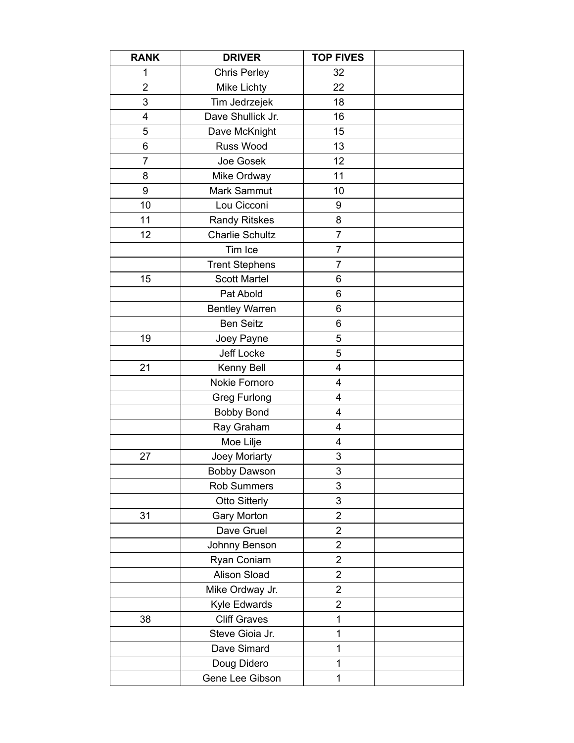| <b>RANK</b>    | <b>DRIVER</b>          | <b>TOP FIVES</b> |  |
|----------------|------------------------|------------------|--|
| 1              | <b>Chris Perley</b>    | 32               |  |
| $\overline{2}$ | <b>Mike Lichty</b>     | 22               |  |
| 3              | Tim Jedrzejek          | 18               |  |
| 4              | Dave Shullick Jr.      | 16               |  |
| 5              | Dave McKnight          | 15               |  |
| 6              | Russ Wood              | 13               |  |
| 7              | Joe Gosek              | 12               |  |
| 8              | Mike Ordway            | 11               |  |
| 9              | Mark Sammut            | 10               |  |
| 10             | Lou Cicconi            | 9                |  |
| 11             | <b>Randy Ritskes</b>   | 8                |  |
| 12             | <b>Charlie Schultz</b> | $\overline{7}$   |  |
|                | Tim Ice                | $\overline{7}$   |  |
|                | <b>Trent Stephens</b>  | 7                |  |
| 15             | <b>Scott Martel</b>    | 6                |  |
|                | Pat Abold              | 6                |  |
|                | <b>Bentley Warren</b>  | 6                |  |
|                | <b>Ben Seitz</b>       | 6                |  |
| 19             | Joey Payne             | 5                |  |
|                | Jeff Locke             | 5                |  |
| 21             | Kenny Bell             | 4                |  |
|                | Nokie Fornoro          | 4                |  |
|                | <b>Greg Furlong</b>    | 4                |  |
|                | <b>Bobby Bond</b>      | 4                |  |
|                | Ray Graham             | 4                |  |
|                | Moe Lilje              | 4                |  |
| 27             | Joey Moriarty          | 3                |  |
|                | <b>Bobby Dawson</b>    | 3                |  |
|                | Rob Summers            | 3                |  |
|                | <b>Otto Sitterly</b>   | 3                |  |
| 31             | <b>Gary Morton</b>     | 2                |  |
|                | Dave Gruel             | 2                |  |
|                | Johnny Benson          | $\overline{2}$   |  |
|                | Ryan Coniam            | $\overline{2}$   |  |
|                | <b>Alison Sload</b>    | $\overline{2}$   |  |
|                | Mike Ordway Jr.        | 2                |  |
|                | Kyle Edwards           | $\overline{2}$   |  |
| 38             | <b>Cliff Graves</b>    | 1                |  |
|                | Steve Gioia Jr.        | 1                |  |
|                | Dave Simard            | 1                |  |
|                | Doug Didero            | 1                |  |
|                | Gene Lee Gibson        | 1                |  |